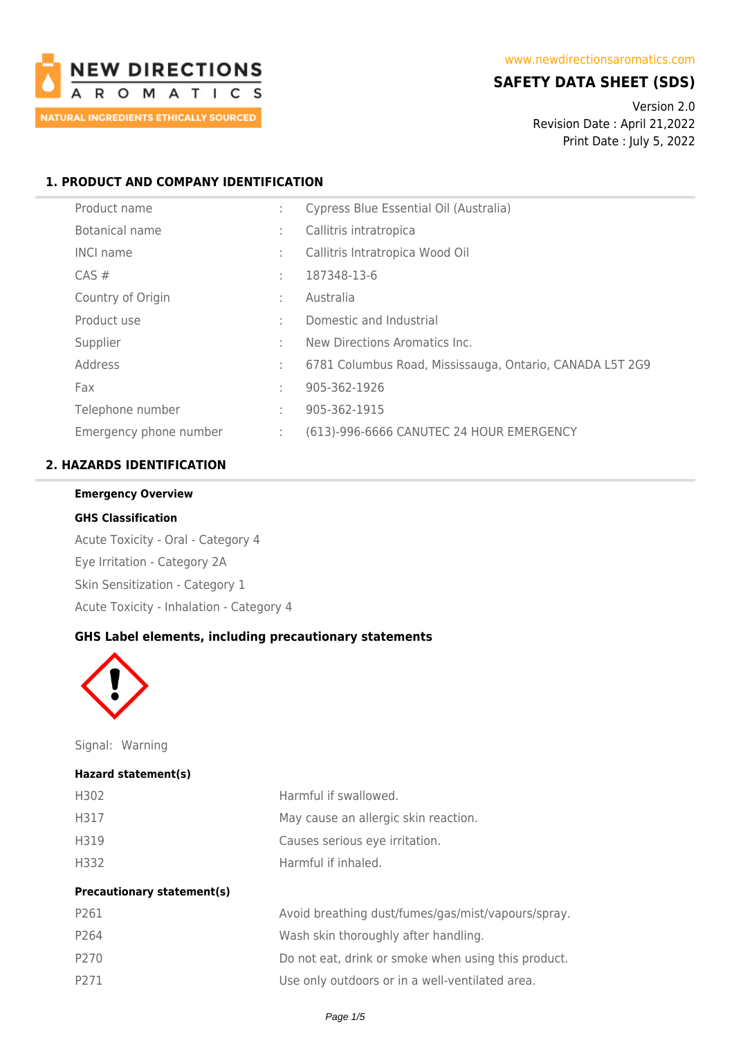

# **SAFETY DATA SHEET (SDS)**

Version 2.0 Revision Date : April 21,2022 Print Date : July 5, 2022

## **1. PRODUCT AND COMPANY IDENTIFICATION**

| Product name           | ÷ | Cypress Blue Essential Oil (Australia)                   |
|------------------------|---|----------------------------------------------------------|
| Botanical name         | ÷ | Callitris intratropica                                   |
| <b>INCI name</b>       | ÷ | Callitris Intratropica Wood Oil                          |
| $CAS \#$               | ÷ | 187348-13-6                                              |
| Country of Origin      | ÷ | Australia                                                |
| Product use            | ÷ | Domestic and Industrial                                  |
| Supplier               | ÷ | New Directions Aromatics Inc.                            |
| Address                | ÷ | 6781 Columbus Road, Mississauga, Ontario, CANADA L5T 2G9 |
| Fax                    | ÷ | 905-362-1926                                             |
| Telephone number       | ÷ | 905-362-1915                                             |
| Emergency phone number | ÷ | (613)-996-6666 CANUTEC 24 HOUR EMERGENCY                 |

## **2. HAZARDS IDENTIFICATION**

### **Emergency Overview**

#### **GHS Classification**

Acute Toxicity - Oral - Category 4 Eye Irritation - Category 2A Skin Sensitization - Category 1 Acute Toxicity - Inhalation - Category 4

### **GHS Label elements, including precautionary statements**



Signal: Warning

#### **Hazard statement(s)**

| H302 | Harmful if swallowed.                |
|------|--------------------------------------|
| H317 | May cause an allergic skin reaction. |
| H319 | Causes serious eye irritation.       |
| H332 | Harmful if inhaled.                  |

#### **Precautionary statement(s)**

| P261 | Avoid breathing dust/fumes/gas/mist/vapours/spray.  |
|------|-----------------------------------------------------|
| P264 | Wash skin thoroughly after handling.                |
| P270 | Do not eat, drink or smoke when using this product. |
| P271 | Use only outdoors or in a well-ventilated area.     |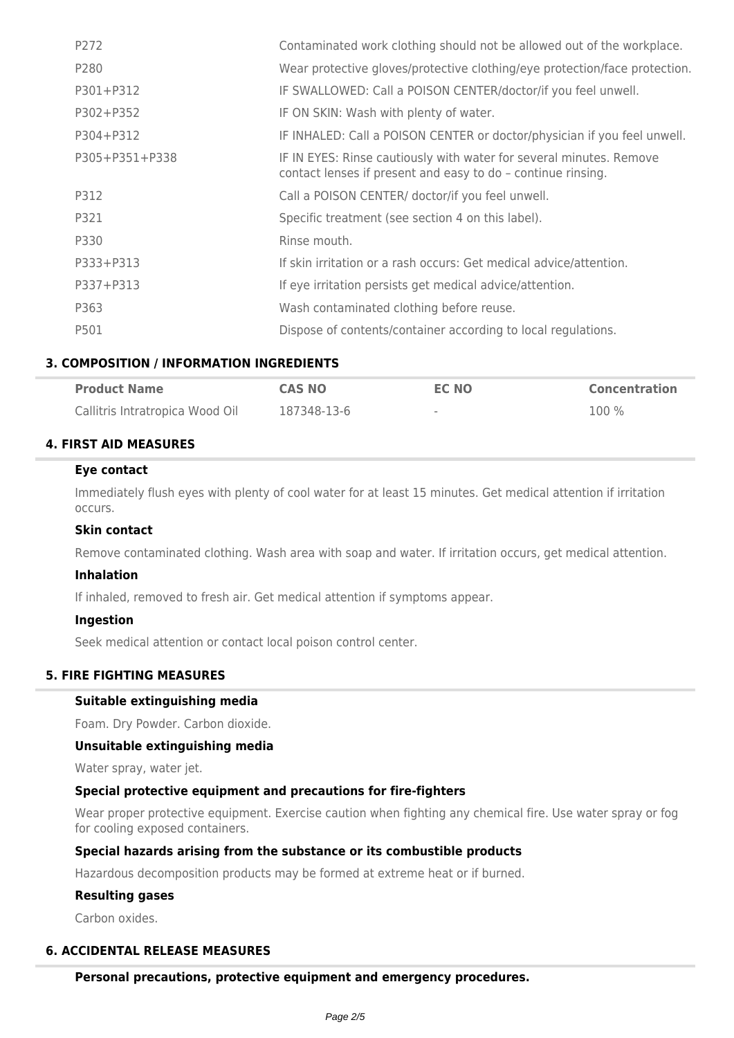| P272           | Contaminated work clothing should not be allowed out of the workplace.                                                              |
|----------------|-------------------------------------------------------------------------------------------------------------------------------------|
| P280           | Wear protective gloves/protective clothing/eye protection/face protection.                                                          |
| P301+P312      | IF SWALLOWED: Call a POISON CENTER/doctor/if you feel unwell.                                                                       |
| P302+P352      | IF ON SKIN: Wash with plenty of water.                                                                                              |
| P304+P312      | IF INHALED: Call a POISON CENTER or doctor/physician if you feel unwell.                                                            |
| P305+P351+P338 | IF IN EYES: Rinse cautiously with water for several minutes. Remove<br>contact lenses if present and easy to do - continue rinsing. |
| P312           | Call a POISON CENTER/ doctor/if you feel unwell.                                                                                    |
| P321           | Specific treatment (see section 4 on this label).                                                                                   |
| P330           | Rinse mouth.                                                                                                                        |
| P333+P313      | If skin irritation or a rash occurs: Get medical advice/attention.                                                                  |
| P337+P313      | If eye irritation persists get medical advice/attention.                                                                            |
| P363           | Wash contaminated clothing before reuse.                                                                                            |
| P501           | Dispose of contents/container according to local regulations.                                                                       |

## **3. COMPOSITION / INFORMATION INGREDIENTS**

| <b>Product Name</b>             | <b>CAS NO</b> | EC NO  | <b>Concentration</b> |
|---------------------------------|---------------|--------|----------------------|
| Callitris Intratropica Wood Oil | 187348-13-6   | $\sim$ | 100 %                |

## **4. FIRST AID MEASURES**

### **Eye contact**

Immediately flush eyes with plenty of cool water for at least 15 minutes. Get medical attention if irritation occurs.

#### **Skin contact**

Remove contaminated clothing. Wash area with soap and water. If irritation occurs, get medical attention.

#### **Inhalation**

If inhaled, removed to fresh air. Get medical attention if symptoms appear.

#### **Ingestion**

Seek medical attention or contact local poison control center.

### **5. FIRE FIGHTING MEASURES**

### **Suitable extinguishing media**

Foam. Dry Powder. Carbon dioxide.

#### **Unsuitable extinguishing media**

Water spray, water jet.

### **Special protective equipment and precautions for fire-fighters**

Wear proper protective equipment. Exercise caution when fighting any chemical fire. Use water spray or fog for cooling exposed containers.

#### **Special hazards arising from the substance or its combustible products**

Hazardous decomposition products may be formed at extreme heat or if burned.

### **Resulting gases**

Carbon oxides.

## **6. ACCIDENTAL RELEASE MEASURES**

**Personal precautions, protective equipment and emergency procedures.**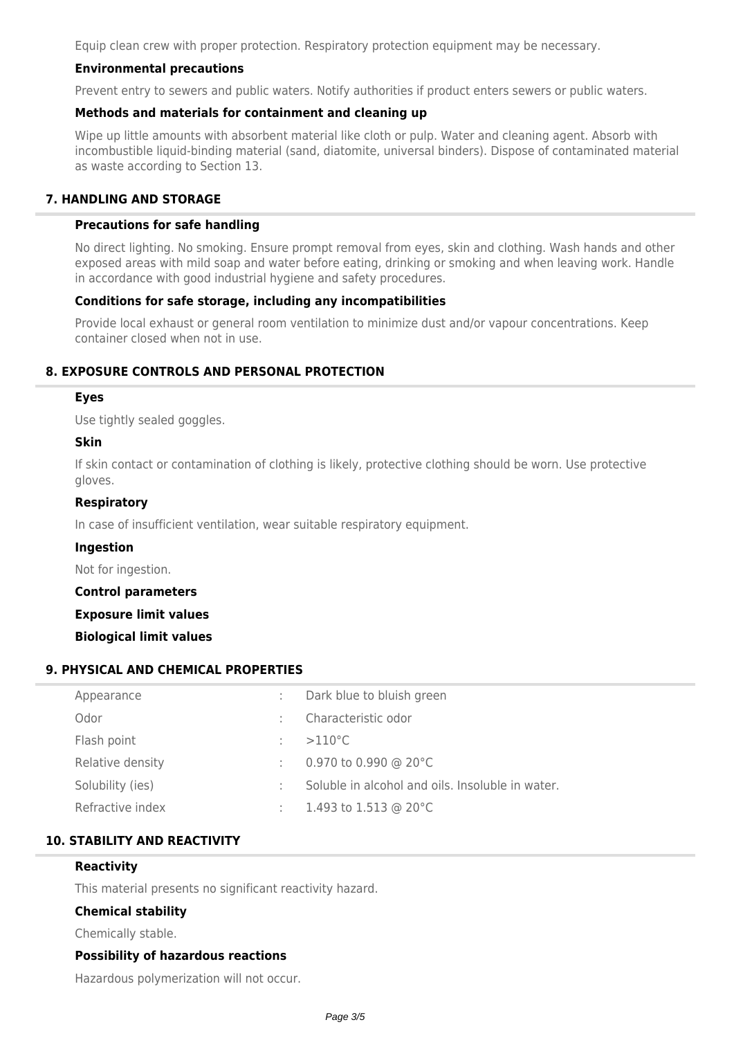Equip clean crew with proper protection. Respiratory protection equipment may be necessary.

## **Environmental precautions**

Prevent entry to sewers and public waters. Notify authorities if product enters sewers or public waters.

## **Methods and materials for containment and cleaning up**

Wipe up little amounts with absorbent material like cloth or pulp. Water and cleaning agent. Absorb with incombustible liquid-binding material (sand, diatomite, universal binders). Dispose of contaminated material as waste according to Section 13.

## **7. HANDLING AND STORAGE**

### **Precautions for safe handling**

No direct lighting. No smoking. Ensure prompt removal from eyes, skin and clothing. Wash hands and other exposed areas with mild soap and water before eating, drinking or smoking and when leaving work. Handle in accordance with good industrial hygiene and safety procedures.

### **Conditions for safe storage, including any incompatibilities**

Provide local exhaust or general room ventilation to minimize dust and/or vapour concentrations. Keep container closed when not in use.

## **8. EXPOSURE CONTROLS AND PERSONAL PROTECTION**

### **Eyes**

Use tightly sealed goggles.

#### **Skin**

If skin contact or contamination of clothing is likely, protective clothing should be worn. Use protective gloves.

### **Respiratory**

In case of insufficient ventilation, wear suitable respiratory equipment.

#### **Ingestion**

Not for ingestion.

**Control parameters**

**Exposure limit values**

**Biological limit values**

## **9. PHYSICAL AND CHEMICAL PROPERTIES**

| Appearance       | Dark blue to bluish green                        |
|------------------|--------------------------------------------------|
| Odor             | Characteristic odor                              |
| Flash point      | $>110^{\circ}$ C                                 |
| Relative density | 0.970 to 0.990 @ 20 $^{\circ}$ C                 |
| Solubility (ies) | Soluble in alcohol and oils. Insoluble in water. |
| Refractive index | 1.493 to 1.513 @ 20 $^{\circ}$ C                 |

### **10. STABILITY AND REACTIVITY**

#### **Reactivity**

This material presents no significant reactivity hazard.

### **Chemical stability**

Chemically stable.

### **Possibility of hazardous reactions**

Hazardous polymerization will not occur.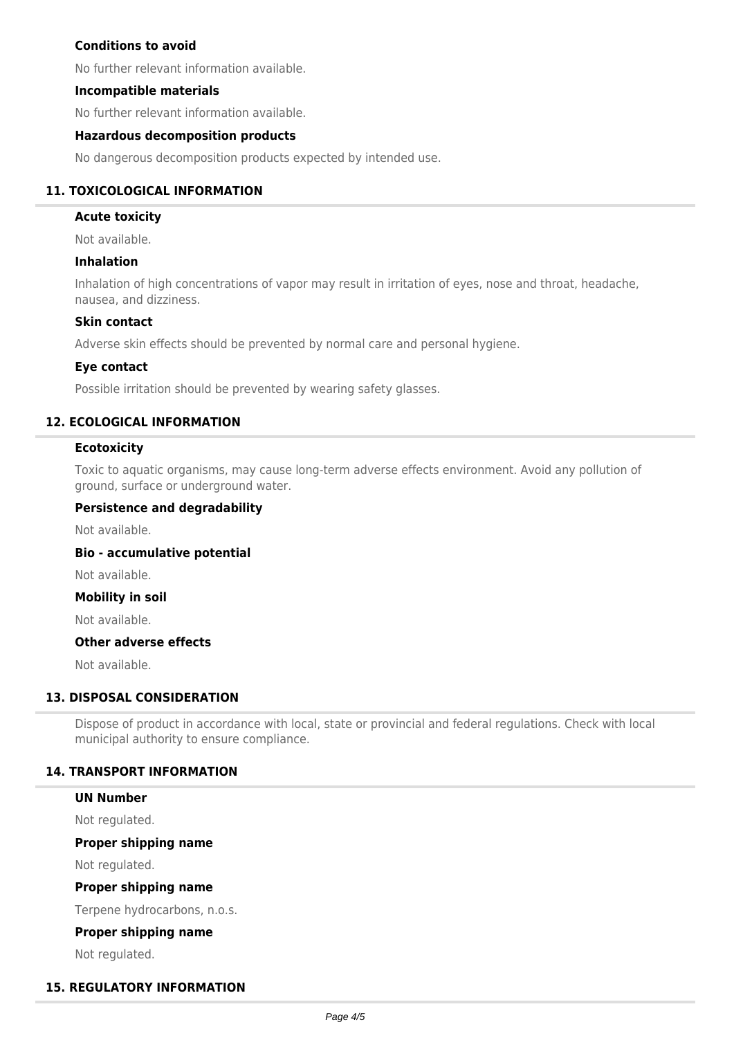## **Conditions to avoid**

No further relevant information available.

### **Incompatible materials**

No further relevant information available.

### **Hazardous decomposition products**

No dangerous decomposition products expected by intended use.

### **11. TOXICOLOGICAL INFORMATION**

#### **Acute toxicity**

Not available.

### **Inhalation**

Inhalation of high concentrations of vapor may result in irritation of eyes, nose and throat, headache, nausea, and dizziness.

#### **Skin contact**

Adverse skin effects should be prevented by normal care and personal hygiene.

#### **Eye contact**

Possible irritation should be prevented by wearing safety glasses.

### **12. ECOLOGICAL INFORMATION**

#### **Ecotoxicity**

Toxic to aquatic organisms, may cause long-term adverse effects environment. Avoid any pollution of ground, surface or underground water.

#### **Persistence and degradability**

Not available.

#### **Bio - accumulative potential**

Not available.

#### **Mobility in soil**

Not available.

## **Other adverse effects**

Not available.

### **13. DISPOSAL CONSIDERATION**

Dispose of product in accordance with local, state or provincial and federal regulations. Check with local municipal authority to ensure compliance.

### **14. TRANSPORT INFORMATION**

#### **UN Number**

Not regulated.

#### **Proper shipping name**

Not regulated.

#### **Proper shipping name**

Terpene hydrocarbons, n.o.s.

#### **Proper shipping name**

Not regulated.

### **15. REGULATORY INFORMATION**